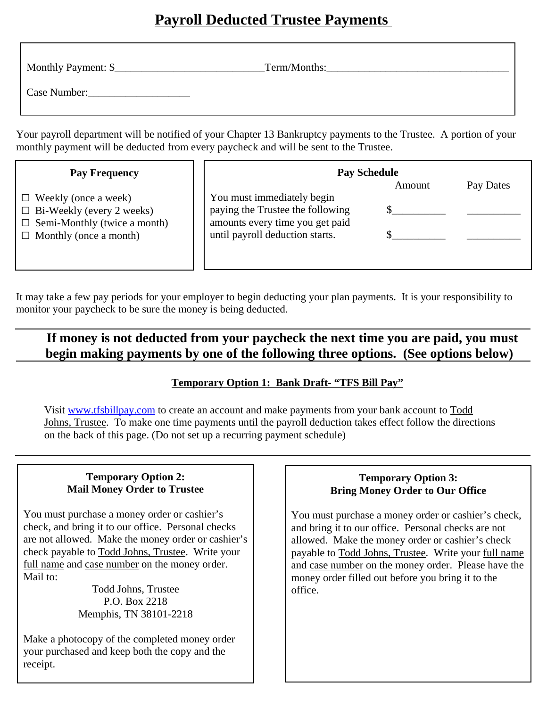# **Payroll Deducted Trustee Payments**

| Monthly Payment: \$ | Term/Months: |
|---------------------|--------------|
| Case Number:        |              |

Your payroll department will be notified of your Chapter 13 Bankruptcy payments to the Trustee. A portion of your monthly payment will be deducted from every paycheck and will be sent to the Trustee.

| <b>Pay Frequency</b>                                                                                                                    | <b>Pay Schedule</b>                                                                                                                  |        |           |
|-----------------------------------------------------------------------------------------------------------------------------------------|--------------------------------------------------------------------------------------------------------------------------------------|--------|-----------|
| $\Box$ Weekly (once a week)<br>$\Box$ Bi-Weekly (every 2 weeks)<br>$\Box$ Semi-Monthly (twice a month)<br>$\Box$ Monthly (once a month) | You must immediately begin<br>paying the Trustee the following<br>amounts every time you get paid<br>until payroll deduction starts. | Amount | Pay Dates |

It may take a few pay periods for your employer to begin deducting your plan payments. It is your responsibility to monitor your paycheck to be sure the money is being deducted.

## **If money is not deducted from your paycheck the next time you are paid, you must begin making payments by one of the following three options. (See options below)**

#### **Temporary Option 1: Bank Draft- "TFS Bill Pay"**

Visit www.tfsbillpay.com to create an account and make payments from your bank account to Todd Johns, Trustee. To make one time payments until the payroll deduction takes effect follow the directions on the back of this page. (Do not set up a recurring payment schedule)

#### **Temporary Option 2: Mail Money Order to Trustee**

You must purchase a money order or cashier's check, and bring it to our office. Personal checks are not allowed. Make the money order or cashier's check payable to Todd Johns, Trustee. Write your full name and case number on the money order. Mail to:

> Todd Johns, Trustee P.O. Box 2218 Memphis, TN 38101-2218

Make a photocopy of the completed money order your purchased and keep both the copy and the receipt.

#### **Temporary Option 3: Bring Money Order to Our Office**

You must purchase a money order or cashier's check, and bring it to our office. Personal checks are not allowed. Make the money order or cashier's check payable to Todd Johns, Trustee. Write your full name and case number on the money order. Please have the money order filled out before you bring it to the office.